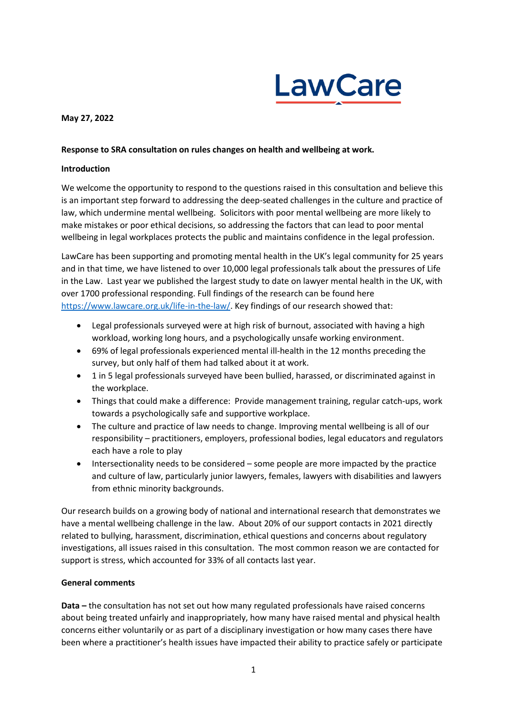

### **May 27, 2022**

### **Response to SRA consultation on rules changes on health and wellbeing at work.**

### **Introduction**

We welcome the opportunity to respond to the questions raised in this consultation and believe this is an important step forward to addressing the deep-seated challenges in the culture and practice of law, which undermine mental wellbeing. Solicitors with poor mental wellbeing are more likely to make mistakes or poor ethical decisions, so addressing the factors that can lead to poor mental wellbeing in legal workplaces protects the public and maintains confidence in the legal profession.

LawCare has been supporting and promoting mental health in the UK's legal community for 25 years and in that time, we have listened to over 10,000 legal professionals talk about the pressures of Life in the Law. Last year we published the largest study to date on lawyer mental health in the UK, with over 1700 professional responding. Full findings of the research can be found here [https://www.lawcare.org.uk/life-in-the-law/.](https://www.lawcare.org.uk/life-in-the-law/) Key findings of our research showed that:

- Legal professionals surveyed were at high risk of burnout, associated with having a high workload, working long hours, and a psychologically unsafe working environment.
- 69% of legal professionals experienced mental ill-health in the 12 months preceding the survey, but only half of them had talked about it at work.
- 1 in 5 legal professionals surveyed have been bullied, harassed, or discriminated against in the workplace.
- Things that could make a difference: Provide management training, regular catch-ups, work towards a psychologically safe and supportive workplace.
- The culture and practice of law needs to change. Improving mental wellbeing is all of our responsibility – practitioners, employers, professional bodies, legal educators and regulators each have a role to play
- Intersectionality needs to be considered some people are more impacted by the practice and culture of law, particularly junior lawyers, females, lawyers with disabilities and lawyers from ethnic minority backgrounds.

Our research builds on a growing body of national and international research that demonstrates we have a mental wellbeing challenge in the law. About 20% of our support contacts in 2021 directly related to bullying, harassment, discrimination, ethical questions and concerns about regulatory investigations, all issues raised in this consultation. The most common reason we are contacted for support is stress, which accounted for 33% of all contacts last year.

### **General comments**

**Data –** the consultation has not set out how many regulated professionals have raised concerns about being treated unfairly and inappropriately, how many have raised mental and physical health concerns either voluntarily or as part of a disciplinary investigation or how many cases there have been where a practitioner's health issues have impacted their ability to practice safely or participate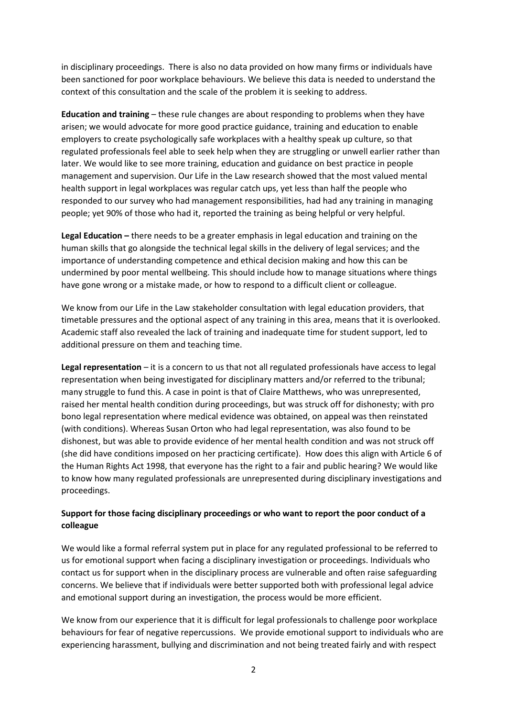in disciplinary proceedings. There is also no data provided on how many firms or individuals have been sanctioned for poor workplace behaviours. We believe this data is needed to understand the context of this consultation and the scale of the problem it is seeking to address.

**Education and training** – these rule changes are about responding to problems when they have arisen; we would advocate for more good practice guidance, training and education to enable employers to create psychologically safe workplaces with a healthy speak up culture, so that regulated professionals feel able to seek help when they are struggling or unwell earlier rather than later. We would like to see more training, education and guidance on best practice in people management and supervision. Our Life in the Law research showed that the most valued mental health support in legal workplaces was regular catch ups, yet less than half the people who responded to our survey who had management responsibilities, had had any training in managing people; yet 90% of those who had it, reported the training as being helpful or very helpful.

**Legal Education –** there needs to be a greater emphasis in legal education and training on the human skills that go alongside the technical legal skills in the delivery of legal services; and the importance of understanding competence and ethical decision making and how this can be undermined by poor mental wellbeing. This should include how to manage situations where things have gone wrong or a mistake made, or how to respond to a difficult client or colleague.

We know from our Life in the Law stakeholder consultation with legal education providers, that timetable pressures and the optional aspect of any training in this area, means that it is overlooked. Academic staff also revealed the lack of training and inadequate time for student support, led to additional pressure on them and teaching time.

**Legal representation** – it is a concern to us that not all regulated professionals have access to legal representation when being investigated for disciplinary matters and/or referred to the tribunal; many struggle to fund this. A case in point is that of Claire Matthews, who was unrepresented, raised her mental health condition during proceedings, but was struck off for dishonesty; with pro bono legal representation where medical evidence was obtained, on appeal was then reinstated (with conditions). Whereas Susan Orton who had legal representation, was also found to be dishonest, but was able to provide evidence of her mental health condition and was not struck off (she did have conditions imposed on her practicing certificate). How does this align with Article 6 of the Human Rights Act 1998, that everyone has the right to a fair and public hearing? We would like to know how many regulated professionals are unrepresented during disciplinary investigations and proceedings.

## **Support for those facing disciplinary proceedings or who want to report the poor conduct of a colleague**

We would like a formal referral system put in place for any regulated professional to be referred to us for emotional support when facing a disciplinary investigation or proceedings. Individuals who contact us for support when in the disciplinary process are vulnerable and often raise safeguarding concerns. We believe that if individuals were better supported both with professional legal advice and emotional support during an investigation, the process would be more efficient.

We know from our experience that it is difficult for legal professionals to challenge poor workplace behaviours for fear of negative repercussions. We provide emotional support to individuals who are experiencing harassment, bullying and discrimination and not being treated fairly and with respect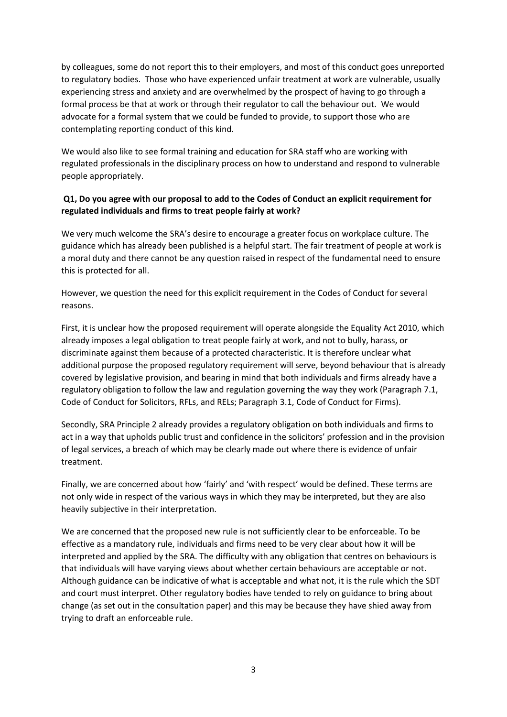by colleagues, some do not report this to their employers, and most of this conduct goes unreported to regulatory bodies. Those who have experienced unfair treatment at work are vulnerable, usually experiencing stress and anxiety and are overwhelmed by the prospect of having to go through a formal process be that at work or through their regulator to call the behaviour out. We would advocate for a formal system that we could be funded to provide, to support those who are contemplating reporting conduct of this kind.

We would also like to see formal training and education for SRA staff who are working with regulated professionals in the disciplinary process on how to understand and respond to vulnerable people appropriately.

# **Q1, Do you agree with our proposal to add to the Codes of Conduct an explicit requirement for regulated individuals and firms to treat people fairly at work?**

We very much welcome the SRA's desire to encourage a greater focus on workplace culture. The guidance which has already been published is a helpful start. The fair treatment of people at work is a moral duty and there cannot be any question raised in respect of the fundamental need to ensure this is protected for all.

However, we question the need for this explicit requirement in the Codes of Conduct for several reasons.

First, it is unclear how the proposed requirement will operate alongside the Equality Act 2010, which already imposes a legal obligation to treat people fairly at work, and not to bully, harass, or discriminate against them because of a protected characteristic. It is therefore unclear what additional purpose the proposed regulatory requirement will serve, beyond behaviour that is already covered by legislative provision, and bearing in mind that both individuals and firms already have a regulatory obligation to follow the law and regulation governing the way they work (Paragraph 7.1, Code of Conduct for Solicitors, RFLs, and RELs; Paragraph 3.1, Code of Conduct for Firms).

Secondly, SRA Principle 2 already provides a regulatory obligation on both individuals and firms to act in a way that upholds public trust and confidence in the solicitors' profession and in the provision of legal services, a breach of which may be clearly made out where there is evidence of unfair treatment.

Finally, we are concerned about how 'fairly' and 'with respect' would be defined. These terms are not only wide in respect of the various ways in which they may be interpreted, but they are also heavily subjective in their interpretation.

We are concerned that the proposed new rule is not sufficiently clear to be enforceable. To be effective as a mandatory rule, individuals and firms need to be very clear about how it will be interpreted and applied by the SRA. The difficulty with any obligation that centres on behaviours is that individuals will have varying views about whether certain behaviours are acceptable or not. Although guidance can be indicative of what is acceptable and what not, it is the rule which the SDT and court must interpret. Other regulatory bodies have tended to rely on guidance to bring about change (as set out in the consultation paper) and this may be because they have shied away from trying to draft an enforceable rule.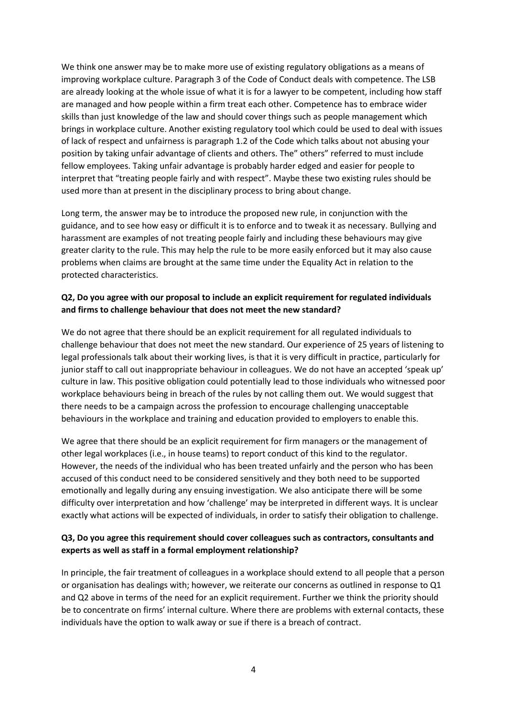We think one answer may be to make more use of existing regulatory obligations as a means of improving workplace culture. Paragraph 3 of the Code of Conduct deals with competence. The LSB are already looking at the whole issue of what it is for a lawyer to be competent, including how staff are managed and how people within a firm treat each other. Competence has to embrace wider skills than just knowledge of the law and should cover things such as people management which brings in workplace culture. Another existing regulatory tool which could be used to deal with issues of lack of respect and unfairness is paragraph 1.2 of the Code which talks about not abusing your position by taking unfair advantage of clients and others. The" others" referred to must include fellow employees. Taking unfair advantage is probably harder edged and easier for people to interpret that "treating people fairly and with respect". Maybe these two existing rules should be used more than at present in the disciplinary process to bring about change.

Long term, the answer may be to introduce the proposed new rule, in conjunction with the guidance, and to see how easy or difficult it is to enforce and to tweak it as necessary. Bullying and harassment are examples of not treating people fairly and including these behaviours may give greater clarity to the rule. This may help the rule to be more easily enforced but it may also cause problems when claims are brought at the same time under the Equality Act in relation to the protected characteristics.

## **Q2, Do you agree with our proposal to include an explicit requirement for regulated individuals and firms to challenge behaviour that does not meet the new standard?**

We do not agree that there should be an explicit requirement for all regulated individuals to challenge behaviour that does not meet the new standard. Our experience of 25 years of listening to legal professionals talk about their working lives, is that it is very difficult in practice, particularly for junior staff to call out inappropriate behaviour in colleagues. We do not have an accepted 'speak up' culture in law. This positive obligation could potentially lead to those individuals who witnessed poor workplace behaviours being in breach of the rules by not calling them out. We would suggest that there needs to be a campaign across the profession to encourage challenging unacceptable behaviours in the workplace and training and education provided to employers to enable this.

We agree that there should be an explicit requirement for firm managers or the management of other legal workplaces (i.e., in house teams) to report conduct of this kind to the regulator. However, the needs of the individual who has been treated unfairly and the person who has been accused of this conduct need to be considered sensitively and they both need to be supported emotionally and legally during any ensuing investigation. We also anticipate there will be some difficulty over interpretation and how 'challenge' may be interpreted in different ways. It is unclear exactly what actions will be expected of individuals, in order to satisfy their obligation to challenge.

# **Q3, Do you agree this requirement should cover colleagues such as contractors, consultants and experts as well as staff in a formal employment relationship?**

In principle, the fair treatment of colleagues in a workplace should extend to all people that a person or organisation has dealings with; however, we reiterate our concerns as outlined in response to Q1 and Q2 above in terms of the need for an explicit requirement. Further we think the priority should be to concentrate on firms' internal culture. Where there are problems with external contacts, these individuals have the option to walk away or sue if there is a breach of contract.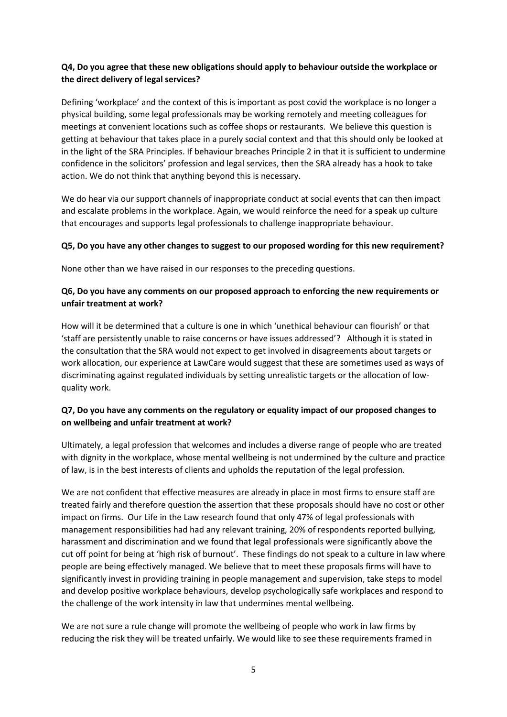# **Q4, Do you agree that these new obligations should apply to behaviour outside the workplace or the direct delivery of legal services?**

Defining 'workplace' and the context of this is important as post covid the workplace is no longer a physical building, some legal professionals may be working remotely and meeting colleagues for meetings at convenient locations such as coffee shops or restaurants. We believe this question is getting at behaviour that takes place in a purely social context and that this should only be looked at in the light of the SRA Principles. If behaviour breaches Principle 2 in that it is sufficient to undermine confidence in the solicitors' profession and legal services, then the SRA already has a hook to take action. We do not think that anything beyond this is necessary.

We do hear via our support channels of inappropriate conduct at social events that can then impact and escalate problems in the workplace. Again, we would reinforce the need for a speak up culture that encourages and supports legal professionals to challenge inappropriate behaviour.

### **Q5, Do you have any other changes to suggest to our proposed wording for this new requirement?**

None other than we have raised in our responses to the preceding questions.

# **Q6, Do you have any comments on our proposed approach to enforcing the new requirements or unfair treatment at work?**

How will it be determined that a culture is one in which 'unethical behaviour can flourish' or that 'staff are persistently unable to raise concerns or have issues addressed'? Although it is stated in the consultation that the SRA would not expect to get involved in disagreements about targets or work allocation, our experience at LawCare would suggest that these are sometimes used as ways of discriminating against regulated individuals by setting unrealistic targets or the allocation of lowquality work.

# **Q7, Do you have any comments on the regulatory or equality impact of our proposed changes to on wellbeing and unfair treatment at work?**

Ultimately, a legal profession that welcomes and includes a diverse range of people who are treated with dignity in the workplace, whose mental wellbeing is not undermined by the culture and practice of law, is in the best interests of clients and upholds the reputation of the legal profession.

We are not confident that effective measures are already in place in most firms to ensure staff are treated fairly and therefore question the assertion that these proposals should have no cost or other impact on firms. Our Life in the Law research found that only 47% of legal professionals with management responsibilities had had any relevant training, 20% of respondents reported bullying, harassment and discrimination and we found that legal professionals were significantly above the cut off point for being at 'high risk of burnout'. These findings do not speak to a culture in law where people are being effectively managed. We believe that to meet these proposals firms will have to significantly invest in providing training in people management and supervision, take steps to model and develop positive workplace behaviours, develop psychologically safe workplaces and respond to the challenge of the work intensity in law that undermines mental wellbeing.

We are not sure a rule change will promote the wellbeing of people who work in law firms by reducing the risk they will be treated unfairly. We would like to see these requirements framed in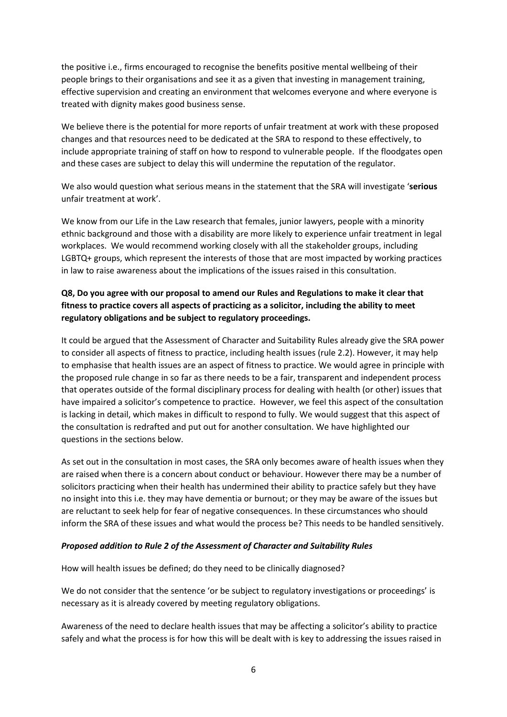the positive i.e., firms encouraged to recognise the benefits positive mental wellbeing of their people brings to their organisations and see it as a given that investing in management training, effective supervision and creating an environment that welcomes everyone and where everyone is treated with dignity makes good business sense.

We believe there is the potential for more reports of unfair treatment at work with these proposed changes and that resources need to be dedicated at the SRA to respond to these effectively, to include appropriate training of staff on how to respond to vulnerable people. If the floodgates open and these cases are subject to delay this will undermine the reputation of the regulator.

We also would question what serious means in the statement that the SRA will investigate '**serious** unfair treatment at work'.

We know from our Life in the Law research that females, junior lawyers, people with a minority ethnic background and those with a disability are more likely to experience unfair treatment in legal workplaces. We would recommend working closely with all the stakeholder groups, including LGBTQ+ groups, which represent the interests of those that are most impacted by working practices in law to raise awareness about the implications of the issues raised in this consultation.

# **Q8, Do you agree with our proposal to amend our Rules and Regulations to make it clear that fitness to practice covers all aspects of practicing as a solicitor, including the ability to meet regulatory obligations and be subject to regulatory proceedings.**

It could be argued that the Assessment of Character and Suitability Rules already give the SRA power to consider all aspects of fitness to practice, including health issues (rule 2.2). However, it may help to emphasise that health issues are an aspect of fitness to practice. We would agree in principle with the proposed rule change in so far as there needs to be a fair, transparent and independent process that operates outside of the formal disciplinary process for dealing with health (or other) issues that have impaired a solicitor's competence to practice. However, we feel this aspect of the consultation is lacking in detail, which makes in difficult to respond to fully. We would suggest that this aspect of the consultation is redrafted and put out for another consultation. We have highlighted our questions in the sections below.

As set out in the consultation in most cases, the SRA only becomes aware of health issues when they are raised when there is a concern about conduct or behaviour. However there may be a number of solicitors practicing when their health has undermined their ability to practice safely but they have no insight into this i.e. they may have dementia or burnout; or they may be aware of the issues but are reluctant to seek help for fear of negative consequences. In these circumstances who should inform the SRA of these issues and what would the process be? This needs to be handled sensitively.

### *Proposed addition to Rule 2 of the Assessment of Character and Suitability Rules*

How will health issues be defined; do they need to be clinically diagnosed?

We do not consider that the sentence 'or be subject to regulatory investigations or proceedings' is necessary as it is already covered by meeting regulatory obligations.

Awareness of the need to declare health issues that may be affecting a solicitor's ability to practice safely and what the process is for how this will be dealt with is key to addressing the issues raised in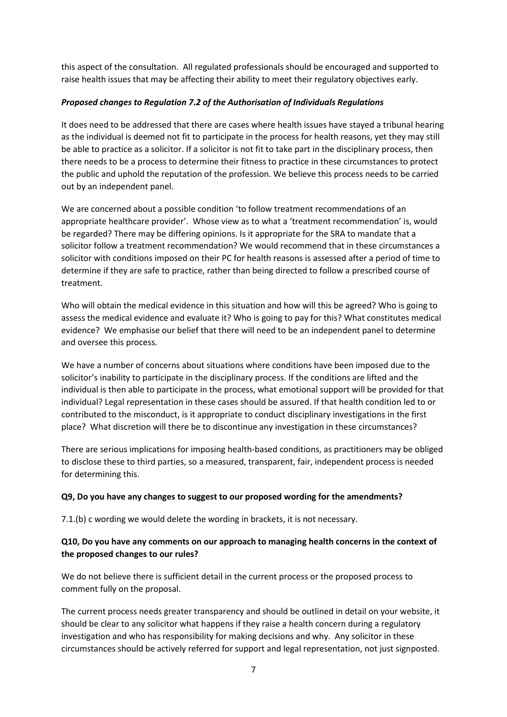this aspect of the consultation. All regulated professionals should be encouraged and supported to raise health issues that may be affecting their ability to meet their regulatory objectives early.

## *Proposed changes to Regulation 7.2 of the Authorisation of Individuals Regulations*

It does need to be addressed that there are cases where health issues have stayed a tribunal hearing as the individual is deemed not fit to participate in the process for health reasons, yet they may still be able to practice as a solicitor. If a solicitor is not fit to take part in the disciplinary process, then there needs to be a process to determine their fitness to practice in these circumstances to protect the public and uphold the reputation of the profession. We believe this process needs to be carried out by an independent panel.

We are concerned about a possible condition 'to follow treatment recommendations of an appropriate healthcare provider'. Whose view as to what a 'treatment recommendation' is, would be regarded? There may be differing opinions. Is it appropriate for the SRA to mandate that a solicitor follow a treatment recommendation? We would recommend that in these circumstances a solicitor with conditions imposed on their PC for health reasons is assessed after a period of time to determine if they are safe to practice, rather than being directed to follow a prescribed course of treatment.

Who will obtain the medical evidence in this situation and how will this be agreed? Who is going to assess the medical evidence and evaluate it? Who is going to pay for this? What constitutes medical evidence? We emphasise our belief that there will need to be an independent panel to determine and oversee this process.

We have a number of concerns about situations where conditions have been imposed due to the solicitor's inability to participate in the disciplinary process. If the conditions are lifted and the individual is then able to participate in the process, what emotional support will be provided for that individual? Legal representation in these cases should be assured. If that health condition led to or contributed to the misconduct, is it appropriate to conduct disciplinary investigations in the first place? What discretion will there be to discontinue any investigation in these circumstances?

There are serious implications for imposing health-based conditions, as practitioners may be obliged to disclose these to third parties, so a measured, transparent, fair, independent process is needed for determining this.

## **Q9, Do you have any changes to suggest to our proposed wording for the amendments?**

7.1.(b) c wording we would delete the wording in brackets, it is not necessary.

# **Q10, Do you have any comments on our approach to managing health concerns in the context of the proposed changes to our rules?**

We do not believe there is sufficient detail in the current process or the proposed process to comment fully on the proposal.

The current process needs greater transparency and should be outlined in detail on your website, it should be clear to any solicitor what happens if they raise a health concern during a regulatory investigation and who has responsibility for making decisions and why. Any solicitor in these circumstances should be actively referred for support and legal representation, not just signposted.